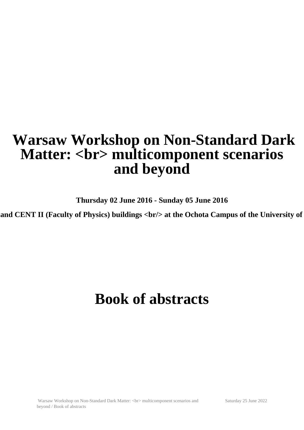# **Warsaw Workshop on Non-Standard Dark Matter: <br> multicomponent scenarios and beyond**

**Thursday 02 June 2016 - Sunday 05 June 2016**

and CENT II (Faculty of Physics) buildings <br/>br/> at the Ochota Campus of the University of

# **Book of abstracts**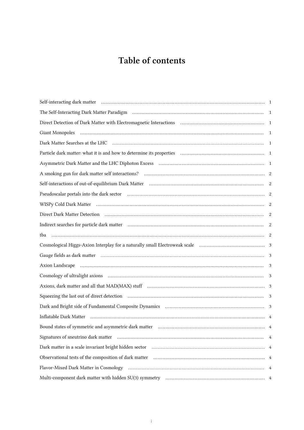# Table of contents

| Dark Matter Searches at the LHC (1000) (2000) (2000) (2000) (2000) (2000) (2000) (2000) (2000) (2000) (2000) (                                                                                                 |                |
|----------------------------------------------------------------------------------------------------------------------------------------------------------------------------------------------------------------|----------------|
|                                                                                                                                                                                                                |                |
|                                                                                                                                                                                                                |                |
|                                                                                                                                                                                                                |                |
|                                                                                                                                                                                                                |                |
| Pseudoscalar portals into the dark sector manufactured contain and all the dark sector manufactured resolution                                                                                                 | 2              |
|                                                                                                                                                                                                                |                |
| Direct Dark Matter Detection (and according to the matter of the Matter Detection (and Matter Detection)                                                                                                       | 2              |
|                                                                                                                                                                                                                | 2              |
|                                                                                                                                                                                                                |                |
|                                                                                                                                                                                                                |                |
|                                                                                                                                                                                                                | 3              |
|                                                                                                                                                                                                                | 3              |
|                                                                                                                                                                                                                | 3              |
| Axions, dark matter and all that MAD(MAX) stuff (and accordinate contained and all that MAD(MAX) stuff (and accordinate contained and all that MAD(MAX) stuff (and accordinate contained and all that $\alpha$ | 3              |
|                                                                                                                                                                                                                | 3              |
|                                                                                                                                                                                                                |                |
| Inflatable Dark Matter                                                                                                                                                                                         |                |
|                                                                                                                                                                                                                |                |
|                                                                                                                                                                                                                | $\overline{4}$ |
|                                                                                                                                                                                                                |                |
|                                                                                                                                                                                                                |                |
|                                                                                                                                                                                                                |                |
|                                                                                                                                                                                                                |                |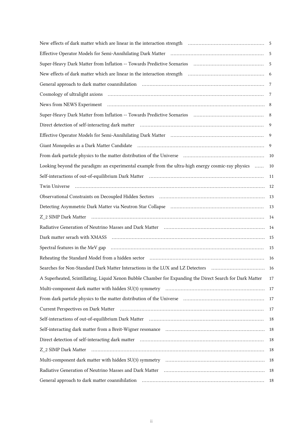| New effects of dark matter which are linear in the interaction strength (and interaction strength) and the strength (see Section 4.5 Section 4.6 Section 4.6 Section 4.6 Section 4.6 Section 4.6 Section 4.6 Section 4.6 Secti |      |
|--------------------------------------------------------------------------------------------------------------------------------------------------------------------------------------------------------------------------------|------|
| Effective Operator Models for Semi-Annihilating Dark Matter (1111) (111) (111) (111) (111) (111) (111) (111) (1                                                                                                                | 5    |
|                                                                                                                                                                                                                                | 5    |
| New effects of dark matter which are linear in the interaction strength <i>matter communicanous merger</i>                                                                                                                     | 6    |
|                                                                                                                                                                                                                                | 7    |
|                                                                                                                                                                                                                                | 7    |
|                                                                                                                                                                                                                                |      |
| Super-Heavy Dark Matter from Inflation -- Towards Predictive Scenarios (and accordination of the Matter from Inflation -- Towards Predictive Scenarios (and accordination)                                                     | 8    |
|                                                                                                                                                                                                                                | 9    |
|                                                                                                                                                                                                                                | 9    |
|                                                                                                                                                                                                                                | 9    |
|                                                                                                                                                                                                                                | 10   |
| Looking beyond the paradigm: an experimental example from the ultra-high energy cosmic-ray physics                                                                                                                             | 10   |
| Self-interactions of out-of-equilibrium Dark Matter (11) matter (11) matter (11) matter (11) matter (11) matter (11) matter (11) matter (11) matter (11) matter (11) matter (11) matter (11) matter (11) matter (11) matter (1 | 11   |
| Twin Universe                                                                                                                                                                                                                  | -12  |
|                                                                                                                                                                                                                                | - 13 |
| Detecting Asymmetric Dark Matter via Neutron Star Collapse (and accordinational controller matter of the Detection                                                                                                             | 13   |
|                                                                                                                                                                                                                                | 14   |
| Radiative Generation of Neutrino Masses and Dark Matter (and accordinational continuum and according to Radiative Generation of Neutrino Masses and Dark Matter (and accordination of Neutrino Masses and Dark Matter (and acc | 14   |
|                                                                                                                                                                                                                                | 15   |
|                                                                                                                                                                                                                                | 15   |
|                                                                                                                                                                                                                                | 16   |
| Searches for Non-Standard Dark Matter Interactions in the LUX and LZ Detectors                                                                                                                                                 | 16   |
| A Superheated, Scintillating, Liquid Xenon Bubble Chamber for Expanding the Direct Search for Dark Matter                                                                                                                      | 17   |
|                                                                                                                                                                                                                                | 17   |
|                                                                                                                                                                                                                                | 17   |
| Current Perspectives on Dark Matter (and all continuum and all continuum and all continuum and all continuum and and all continuum and all continuum and all continuum and all continuum and all continuum and all continuum a | 17   |
| Self-interactions of out-of-equilibrium Dark Matter (11) (1) and the control of the control of the control of the control of the control of the control of the control of the control of the control of the control of the con | 18   |
| Self-interacting dark matter from a Breit-Wigner resonance (and interactional content of the self-interacting dark matter from a Breit-Wigner resonance                                                                        | 18   |
|                                                                                                                                                                                                                                | 18   |
|                                                                                                                                                                                                                                | -18  |
|                                                                                                                                                                                                                                | - 18 |
| Radiative Generation of Neutrino Masses and Dark Matter (and accordinational continuum control of Neutrino Masses and Dark Matter (and accordination continuum)                                                                | - 18 |
|                                                                                                                                                                                                                                | -18  |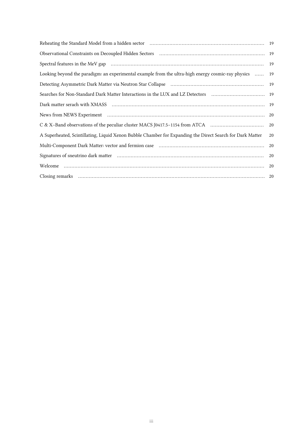|                                                                                                           | 19 |
|-----------------------------------------------------------------------------------------------------------|----|
| Looking beyond the paradigm: an experimental example from the ultra-high energy cosmic-ray physics        | 19 |
|                                                                                                           |    |
|                                                                                                           |    |
|                                                                                                           |    |
|                                                                                                           |    |
|                                                                                                           | 20 |
| A Superheated, Scintillating, Liquid Xenon Bubble Chamber for Expanding the Direct Search for Dark Matter | 20 |
|                                                                                                           | 20 |
|                                                                                                           | 20 |
|                                                                                                           |    |
|                                                                                                           |    |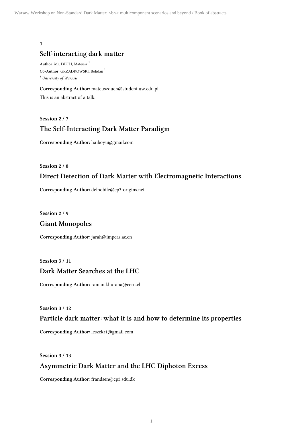# **Self-interacting dark matter**

**Author:** Mr. DUCH, Mateusz <sup>1</sup> **Co-Author:** GRZADKOWSKI, Bohdan <sup>1</sup> <sup>1</sup> University of Warsaw

**Corresponding Author:** mateuszduch@student.uw.edu.pl This is an abstract of a talk.

**Session 2 / 7**

# **The Self-Interacting Dark Matter Paradigm**

**Corresponding Author:** haiboyu@gmail.com

**Session 2 / 8**

# **Direct Detection of Dark Matter with Electromagnetic Interactions**

**Corresponding Author:** delnobile@cp3-origins.net

**Session 2 / 9**

## **Giant Monopoles**

**Corresponding Author:** jarah@impcas.ac.cn

**Session 3 / 11**

# **Dark Matter Searches at the LHC**

**Corresponding Author:** raman.khurana@cern.ch

**Session 3 / 12**

## **Particle dark matter: what it is and how to determine its properties**

**Corresponding Author:** leszekr1@gmail.com

**Session 3 / 13**

## **Asymmetric Dark Matter and the LHC Diphoton Excess**

**Corresponding Author:** frandsen@cp3.sdu.dk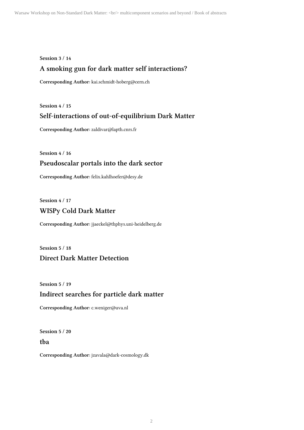#### **Session 3 / 14**

# **A smoking gun for dark matter self interactions?**

**Corresponding Author:** kai.schmidt-hoberg@cern.ch

**Session 4 / 15**

# **Self-interactions of out-of-equilibrium Dark Matter**

**Corresponding Author:** zaldivar@lapth.cnrs.fr

**Session 4 / 16**

# **Pseudoscalar portals into the dark sector**

**Corresponding Author:** felix.kahlhoefer@desy.de

**Session 4 / 17**

# **WISPy Cold Dark Matter**

**Corresponding Author:** jjaeckel@thphys.uni-heidelberg.de

**Session 5 / 18 Direct Dark Matter Detection**

**Session 5 / 19**

# **Indirect searches for particle dark matter**

**Corresponding Author:** c.weniger@uva.nl

**Session 5 / 20 tba**

**Corresponding Author:** jzavala@dark-cosmology.dk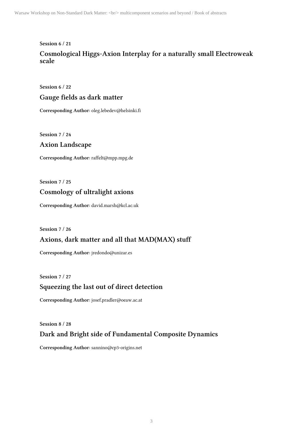#### **Session 6 / 21**

# **Cosmological Higgs-Axion Interplay for a naturally small Electroweak scale**

**Session 6 / 22**

# **Gauge fields as dark matter**

**Corresponding Author:** oleg.lebedev@helsinki.fi

**Session 7 / 24**

# **Axion Landscape**

**Corresponding Author:** raffelt@mpp.mpg.de

**Session 7 / 25**

# **Cosmology of ultralight axions**

**Corresponding Author:** david.marsh@kcl.ac.uk

**Session 7 / 26**

# **Axions, dark matter and all that MAD(MAX) stuff**

**Corresponding Author:** jredondo@unizar.es

**Session 7 / 27**

# **Squeezing the last out of direct detection**

**Corresponding Author:** josef.pradler@oeaw.ac.at

**Session 8 / 28**

# **Dark and Bright side of Fundamental Composite Dynamics**

**Corresponding Author:** sannino@cp3-origins.net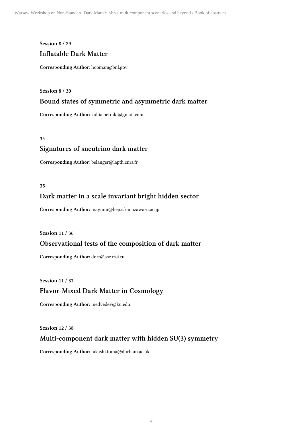#### **Session 8 / 29**

# **Inflatable Dark Matter**

**Corresponding Author:** hooman@bnl.gov

**Session 8 / 30**

## **Bound states of symmetric and asymmetric dark matter**

**Corresponding Author:** kallia.petraki@gmail.com

**34**

# **Signatures of sneutrino dark matter**

**Corresponding Author:** belanger@lapth.cnrs.fr

#### **35**

# **Dark matter in a scale invariant bright hidden sector**

**Corresponding Author:** mayumi@hep.s.kanazawa-u.ac.jp

**Session 11 / 36**

# **Observational tests of the composition of dark matter**

**Corresponding Author:** dorr@asc.rssi.ru

**Session 11 / 37**

# **Flavor-Mixed Dark Matter in Cosmology**

**Corresponding Author:** medvedev@ku.edu

**Session 12 / 38**

# **Multi-component dark matter with hidden SU(3) symmetry**

**Corresponding Author:** takashi.toma@durham.ac.uk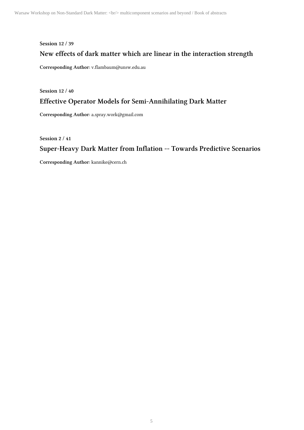# **Session 12 / 39 New effects of dark matter which are linear in the interaction strength**

**Corresponding Author:** v.flambaum@unsw.edu.au

**Session 12 / 40**

# **Effective Operator Models for Semi-Annihilating Dark Matter**

**Corresponding Author:** a.spray.work@gmail.com

**Session 2 / 41**

# **Super-Heavy Dark Matter from Inflation -- Towards Predictive Scenarios**

**Corresponding Author:** kannike@cern.ch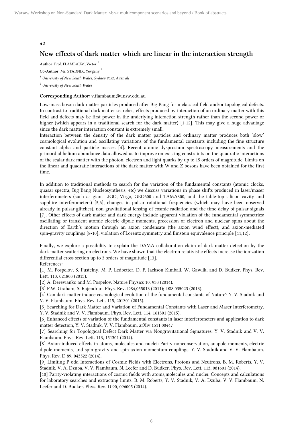# **New effects of dark matter which are linear in the interaction strength**

**Author:** Prof. FLAMBAUM, Victor <sup>1</sup>

**Co-Author:** Mr. STADNIK, Yevgeny <sup>2</sup>

<sup>1</sup> University of New South Wales, Sydney 2052, Australi

<sup>2</sup> University of New South Wales

#### **Corresponding Author:** v.flambaum@unsw.edu.au

Low-mass boson dark matter particles produced after Big Bang form classical field and/or topological defects. In contrast to traditional dark matter searches, effects produced by interaction of an ordinary matter with this field and defects may be first power in the underlying interaction strength rather than the second power or higher (which appears in a traditional search for the dark matter) [1-12]. This may give a huge advantage since the dark matter interaction constant is extremely small.

Interaction between the density of the dark matter particles and ordinary matter produces both 'slow' cosmological evolution and oscillating variations of the fundamental constants including the fine structure constant alpha and particle masses [4]. Recent atomic dysprosium spectroscopy measurements and the primordial helium abundance data allowed us to improve on existing constraints on the quadratic interactions of the scalar dark matter with the photon, electron and light quarks by up to 15 orders of magnitude. Limits on the linear and quadratic interactions of the dark matter with W and Z bosons have been obtained for the first time.

In addition to traditional methods to search for the variation of the fundamental constants (atomic clocks, quasar spectra, Big Bang Nucleosynthesis, etc) we discuss variations in phase shifts produced in laser/maser interferometers (such as giant LIGO, Virgo, GEO600 and TAMA300, and the table-top silicon cavity and sapphire interferometers) [5,6], changes in pulsar rotational frequencies (which may have been observed already in pulsar glitches), non-gravitational lensing of cosmic radiation and the time-delay of pulsar signals [7]. Other effects of dark matter and dark energy include apparent violation of the fundamental symmetries: oscillating or transient atomic electric dipole moments, precession of electron and nuclear spins about the direction of Earth's motion through an axion condensate (the axion wind effect), and axion-mediated spin-gravity couplings [8-10], violation of Lorentz symmetry and Einstein equivalence principle [11,12].

Finally, we explore a possibility to explain the DAMA collaboration claim of dark matter detection by the dark matter scattering on electrons. We have shown that the electron relativistic effects increase the ionization differential cross section up to 3 orders of magnitude [13]. References:

[1] M. Pospelov, S. Pustelny, M. P. Ledbetter, D. F. Jackson Kimball, W. Gawlik, and D. Budker. Phys. Rev. Lett. 110, 021803 (2013).

[2] A. Derevianko and M. Pospelov. Nature Physics 10, 933 (2014).

[3] P.W. Graham, S. Rajendran. Phys. Rev. D84,055013 (2011); D88,035023 (2013).

[4] Can dark matter induce cosmological evolution of the fundamental constants of Nature? Y. V. Stadnik and V. V. Flambaum. Phys. Rev. Lett. 115, 201301 (2015).

[5] Searching for Dark Matter and Variation of Fundamental Constants with Laser and Maser Interferometry. Y. V. Stadnik and V. V. Flambaum. Phys. Rev. Lett. 114, 161301 (2015).

[6] Enhanced effects of variation of the fundamental constants in laser interferometers and application to dark matter detection, Y. V. Stadnik, V. V. Flambaum, arXiv:1511.00447

[7] Searching for Topological Defect Dark Matter via Nongravitational Signatures. Y. V. Stadnik and V. V. Flambaum. Phys. Rev. Lett. 113, 151301 (2014).

[8] Axion-induced effects in atoms, molecules and nuclei: Parity nonconservation, anapole moments, electric dipole moments, and spin-gravity and spin-axion momentum couplings. Y. V. Stadnik and V. V. Flambaum. Phys. Rev. D 89, 043522 (2014).

[9] Limiting P-odd Interactions of Cosmic Fields with Electrons, Protons and Neutrons. B. M. Roberts, Y. V. Stadnik, V. A. Dzuba, V. V. Flambaum, N. Leefer and D. Budker. Phys. Rev. Lett. 113, 081601 (2014).

[10] Parity-violating interactions of cosmic fields with atoms,molecules and nuclei: Concepts and calculations for laboratory searches and extracting limits. B. M. Roberts, Y. V. Stadnik, V. A. Dzuba, V. V. Flambaum, N. Leefer and D. Budker. Phys. Rev. D 90, 096005 (2014).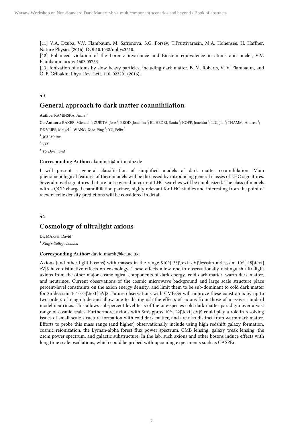[11] V.A. Dzuba, V.V. Flambaum, M. Safronova, S.G. Porsev, T.Pruttivarasin, M.A. Hohensee, H. Haffner. Nature Physics (2016), DOI:10.1038/nphys3610.

[12] Enhanced violation of the Lorentz invariance and Einstein equivalence in atoms and nuclei, V.V. Flambaum. arxiv: 1603.05753

[13] Ionization of atoms by slow heavy particles, including dark matter. B. M. Roberts, V. V. Flambaum, and G. F. Gribakin, Phys. Rev. Lett. 116, 023201 (2016).

#### **43**

## **General approach to dark matter coannihilation**

**Author:** KAMINSKA, Anna <sup>1</sup>

Co-Authors: BAKER, Michael<sup>1</sup>; ZURITA, Jose<sup>2</sup>; BROD, Joachim<sup>3</sup>; EL HEDRI, Sonia<sup>1</sup>; KOPP, Joachim<sup>1</sup>; LIU, Jia<sup>1</sup>; THAMM, Andrea<sup>1</sup>; DE VRIES, Maikel<sup>1</sup>; WANG, Xiao-Ping<sup>1</sup>; YU, Felix<sup>1</sup>

 $1$   $JGU$  Mainz

 $^{2}$  KIT

3 TU Dortmund

#### **Corresponding Author:** akaminsk@uni-mainz.de

I will present a general classification of simplified models of dark matter coannihilation. Main phenomenological features of these models will be discussed by introducing general classes of LHC signatures. Several novel signatures that are not covered in current LHC searches will be emphasized. The class of models with a QCD charged coannihilation partner, highly relevant for LHC studies and interesting from the point of view of relic density predictions will be considered in detail.

**44**

# **Cosmology of ultralight axions**

Dr. MARSH, David<sup>1</sup> <sup>1</sup> King's College London

#### **Corresponding Author:** david.marsh@kcl.ac.uk

Axions (and other light bosons) with masses in the range  $$10^{\{-3\}\text{eV}}\$  eV}\lesssim m\lesssim 10^{-18}\text{ eV}\$ have distinctive effects on cosmology. These effects allow one to observationally distinguish ultralight axions from the other major cosmological components of dark energy, cold dark matter, warm dark matter, and neutrinos. Current observations of the cosmic microwave background and large scale structure place percent-level constraints on the axion energy density, and limit them to be sub-dominant to cold dark matter for  $m\lesssim 10^{-24}\text{ eV}\$ . Future observations with CMB-S4 will improve these constraints by up to two orders of magnitude and allow one to distinguish the effects of axions from those of massive standard model neutrinos. This allows sub-percent level tests of the one-species cold dark matter paradigm over a vast range of cosmic scales. Furthermore, axions with  $m\apreak{\approx 10^{\,-22}\text{ et }eV}\$  could play a role in resolving issues of small-scale structure formation with cold dark matter, and are also distinct from warm dark matter. Efforts to probe this mass range (and higher) observationally include using high redshift galaxy formation, cosmic reionization, the Lyman-alpha forest flux power spectrum, CMB lensing, galaxy weak lensing, the 21cm power spectrum, and galactic substructure. In the lab, such axions and other bosons induce effects with long time scale oscillations, which could be probed with upcoming experiments such as CASPEr.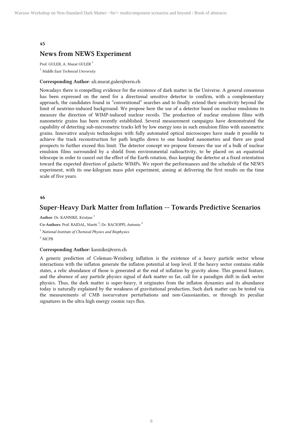# **News from NEWS Experiment**

Prof. GULER, A. Murat GULER<sup>1</sup>  $<sup>1</sup>$  Middle East Technical University</sup>

#### **Corresponding Author:** ali.murat.guler@cern.ch

Nowadays there is compelling evidence for the existence of dark matter in the Universe. A general consensus has been expressed on the need for a directional sensitive detector to confirm, with a complementary approach, the candidates found in "conventional" searches and to finally extend their sensitivity beyond the limit of neutrino-induced background. We propose here the use of a detector based on nuclear emulsions to measure the direction of WIMP-induced nuclear recoils. The production of nuclear emulsion films with nanometric grains has been recently established. Several measurement campaigns have demonstrated the capability of detecting sub-micrometric tracks left by low energy ions in such emulsion films with nanometric grains. Innovative analysis technologies with fully automated optical microscopes have made it possible to achieve the track reconstruction for path lengths down to one hundred nanometres and there are good prospects to further exceed this limit. The detector concept we propose foresees the use of a bulk of nuclear emulsion films surrounded by a shield from environmental radioactivity, to be placed on an equatorial telescope in order to cancel out the effect of the Earth rotation, thus keeping the detector at a fixed orientation toward the expected direction of galactic WIMPs. We report the performances and the schedule of the NEWS experiment, with its one-kilogram mass pilot experiment, aiming at delivering the first results on the time scale of five years.

#### **46**

# **Super-Heavy Dark Matter from Inflation -- Towards Predictive Scenarios**

**Author:** Dr. KANNIKE, Kristjan <sup>1</sup>

Co-Authors: Prof. RAIDAL, Martti<sup>2</sup>; Dr. RACIOPPI, Antonio<sup>2</sup>

 $1$  National Institute of Chemical Physics and Biophysics

2 NICPB

#### **Corresponding Author:** kannike@cern.ch

A generic prediction of Coleman-Weinberg inflation is the existence of a heavy particle sector whose interactions with the inflaton generate the inflaton potential at loop level. If the heavy sector contains stable states, a relic abundance of those is generated at the end of inflation by gravity alone. This general feature, and the absence of any particle physics signal of dark matter so far, call for a paradigm shift in dark sector physics. Thus, the dark matter is super-heavy, it originates from the inflaton dynamics and its abundance today is naturally explained by the weakness of gravitational production. Such dark matter can be tested via the measurements of CMB isocurvature perturbations and non-Gaussianities, or through its peculiar signatures in the ultra high energy cosmic rays flux.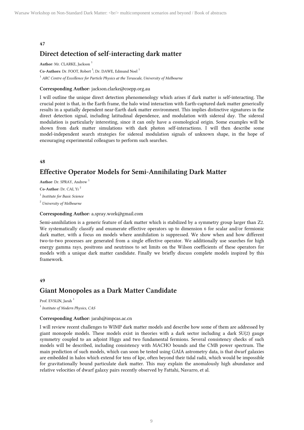# **Direct detection of self-interacting dark matter**

**Author:** Mr. CLARKE, Jackson <sup>1</sup>

Co-Authors: Dr. FOOT, Robert<sup>1</sup>; Dr. DAWE, Edmund Noel<sup>1</sup>

 $^{\rm 1}$  ARC Centre of Excellence for Particle Physics at the Terascale, University of Melbourne

#### **Corresponding Author:** jackson.clarke@coepp.org.au

I will outline the unique direct detection phenomenology which arises if dark matter is self-interacting. The crucial point is that, in the Earth frame, the halo wind interaction with Earth-captured dark matter generically results in a spatially dependent near-Earth dark matter environment. This implies distinctive signatures in the direct detection signal, including latitudinal dependence, and modulation with sidereal day. The sidereal modulation is particularly interesting, since it can only have a cosmological origin. Some examples will be shown from dark matter simulations with dark photon self-interactions. I will then describe some model-independent search strategies for sidereal modulation signals of unknown shape, in the hope of encouraging experimental colleagues to perform such searches.

#### **48**

# **Effective Operator Models for Semi-Annihilating Dark Matter**

**Author:** Dr. SPRAY, Andrew <sup>1</sup>

**Co-Author:** Dr. CAI, Yi <sup>2</sup>

<sup>1</sup> Institute for Basic Science

<sup>2</sup> University of Melbourne

#### **Corresponding Author:** a.spray.work@gmail.com

Semi-annihilation is a generic feature of dark matter which is stabilized by a symmetry group larger than Z2. We systematically classify and enumerate effective operators up to dimension 6 for scalar and/or fermionic dark matter, with a focus on models where annihilation is suppressed. We show when and how different two-to-two processes are generated from a single effective operator. We additionally use searches for high energy gamma rays, positrons and neutrinos to set limits on the Wilson coefficients of these operators for models with a unique dark matter candidate. Finally we briefly discuss complete models inspired by this framework.

#### **49**

# **Giant Monopoles as a Dark Matter Candidate**

Prof. EVSLIN, Jarah<sup>1</sup>

<sup>1</sup> Institute of Modern Physics, CAS

#### **Corresponding Author:** jarah@impcas.ac.cn

I will review recent challenges to WIMP dark matter models and describe how some of them are addressed by giant monopole models. These models exist in theories with a dark sector including a dark SU(2) gauge symmetry coupled to an adjoint Higgs and two fundamental fermions. Several consistency checks of such models will be described, including consistency with MACHO bounds and the CMB power spectrum. The main prediction of such models, which can soon be tested using GAIA astrometry data, is that dwarf galaxies are embedded in halos which extend for tens of kpc, often beyond their tidal radii, which would be impossible for gravitationally bound particulate dark matter. This may explain the anomalously high abundance and relative velocities of dwarf galaxy pairs recently observed by Fattahi, Navarro, et al.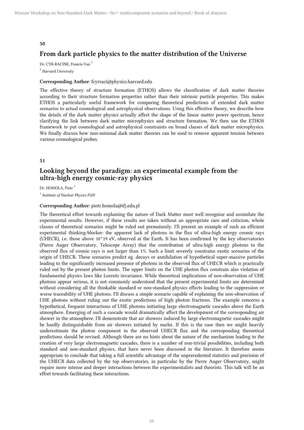# **From dark particle physics to the matter distribution of the Universe**

Dr. CYR-RACINE, Francis-Yan<sup>1</sup>  $<sup>1</sup>$  Harvard University</sup>

#### **Corresponding Author:** fcyrraci@physics.harvard.edu

The effective theory of structure formation (ETHOS) allows the classification of dark matter theories according to their structure formation properties rather than their intrinsic particle properties. This makes ETHOS a particularly useful framework for comparing theoretical predictions of extended dark matter scenarios to actual cosmological and astrophysical observations. Using this effective theory, we describe how the details of the dark matter physics actually affect the shape of the linear matter power spectrum, hence clarifying the link between dark matter microphysics and structure formation. We then use the ETHOS framework to put cosmological and astrophysical constraints on broad classes of dark matter microphysics. We finally discuss how non-minimal dark matter theories can be used to remove apparent tension between various cosmological probes.

#### **51**

# **Looking beyond the paradigm: an experimental example from the ultra-high energy cosmic-ray physics**

Dr. HOMOLA, Piotr<sup>1</sup>

<sup>1</sup> Institute of Nuclear Physics PAN

#### **Corresponding Author:** piotr.homola@ifj.edu.pl

The theoretical effort towards explaining the nature of Dark Matter must well recognize and assimilate the experimental results. However, if these results are taken without an appropriate care and criticism, whole classes of theoretical scenarios might be ruled out prematurely. I'll present an example of such an efficient experimental thinking-blocker: the apparent lack of photons in the flux of ultra-high energy cosmic rays (UHECR), i.e. those above 10^19 eV, observed at the Earth. It has been confirmed by the key observatories (Pierre Auger Observatory, Telescope Array) that the contribution of ultra-high energy photons to the observed flux of cosmic rays is not larger than 1%. Such a limit severely constrains exotic scenarios of the origin of UHECR. These scenarios predict eg. decays or annihilation of hypothetical super-massive particles leading to the significantly increased presence of photons in the observed flux of UHECR which is practically ruled out by the present photon limits. The upper limits on the UHE photon flux constrain also violation of fundamental physics laws like Lorentz invariance. While theoretical implications of non-observation of UHE photons appear serious, it is not commonly understood that the present experimental limits are determined without considering all the thinkable standard or non-standard physics effects leading to the suppression or worse traceability of UHE photons. I'll discuss a simple scenario capable of explaining the non-observation of UHE photons without ruling out the exotic predictions of high photon fractions. The example concerns a hypothetical, frequent interactions of UHE photons initiating large electromagnetic cascades above the Earth atmosphere. Emerging of such a cascade would dramatically affect the development of the corresponding air shower in the atmosphere. I'll demonstrate that air showers induced by large electromagnetic cascades might be hardly distinguishable from air showers initiated by nuclei. If this is the case then we might heavily underestimate the photon component in the observed UHECR flux and the corresponding theoretical predictions should be revised. Although there are no hints about the nature of the mechanism leading to the creation of very large electromagnetic cascades, there is a number of non-trivial possibilities, including both standard and non-standard physics, that have never been discussed in the literature. It therefore seems appropriate to conclude that taking a full scientific advantage of the unprecedented statistics and precision of the UHECR data collected by the top observatories, in particular by the Pierre Auger Observatory, might require more intense and deeper interactions between the experimentalists and theorists. This talk will be an effort towards facilitating these interactions.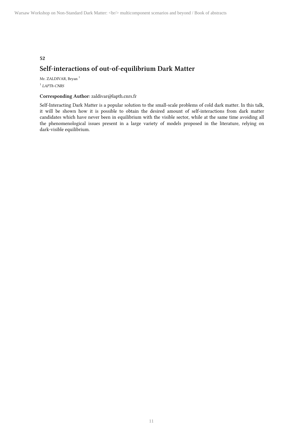# **52 Self-interactions of out-of-equilibrium Dark Matter**

Mr. ZALDIVAR, Bryan<sup>1</sup> 1 LAPTh-CNRS

#### **Corresponding Author:** zaldivar@lapth.cnrs.fr

Self-Interacting Dark Matter is a popular solution to the small-scale problems of cold dark matter. In this talk, it will be shown how it is possible to obtain the desired amount of self-interactions from dark matter candidates which have never been in equilibrium with the visible sector, while at the same time avoiding all the phenomenological issues present in a large variety of models proposed in the literature, relying on dark-visible equilibrium.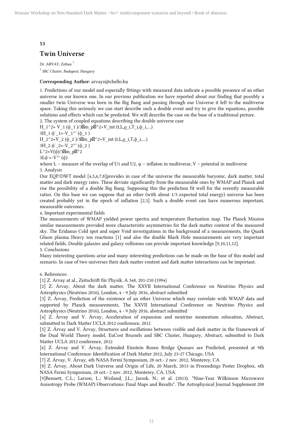# **Twin Universe**

Dr. ARVAY, Zoltan<sup>1</sup> <sup>1</sup> SBC Cluster, Budapest, Hungary

#### **Corresponding Author:** arvayz@chello.hu

1. Predictions of our model and especially fittings with measured data indicate a possible presence of an other universe in our known one. In our previous publication we have reported about our finding that possibly a smaller twin Universe was born in the Big Bang and passing through our Universe it left to the multiverse space. Taking this seriously we can start describe such a double event and try to give the equations, possible solutions and effects which can be predicted. We will describe the case on the base of a traditional picture.

2. The system of coupled equations describing the double universe case

H\_1^2≈ V\_1 (ϕ\_1 )/3⊠m\_p⊠^2+V\_int (t,L,ρ\_i,T\_i,ϕ\_i,…)

 $3H_1 \phi'$   $1 \approx -V_1^{\prime\prime} (\phi_1)$ 

H\_2^2≈V\_2 (ϕ\_2 )/3⊠m\_p⊠^2+V\_int (t,L, $\rho$ \_i,T, $\phi$ \_i,…)

 $3H_2 \phi_2 \approx -V_2' \left(\phi_2\right)$ 

L<sup>^</sup>2≈V(ϕ)/3⊠m p⊠<sup>^</sup>2

 $3L\phi \approx -V^{\wedge}$ ' ( $\phi$ )

where L – measure of the overlap of U1 and U2,  $\varphi$  – inflaton in multiverse, V – potential in multiverse 3. Analysis

Our EQP/DWT model [4,5,6,7,8]provides in case of the universe the measurable baryonic, dark matter, total matter and dark energy rates. These deviate significantly from the measurable ones by WMAP and Planck and rise the possibility of a double Big Bang. Supposing this the prediction fit well for the recently measurable ratios. On this base we can suppose that an other (with about 1/3 expected total energy) universe has been created probably yet in the epoch of inflation [2,3]. Such a double event can have numerous important, measurable outcomes.

4. Important experimental fields

The measurements of WMAP yielded power spectra and temperature fluctuation map. The Planck Mission similar measurements provided more characteristic asymmetries for the dark matter content of the measured sky. The Eridanus Cold spot and super Void investigations in the background of a measurements, the Quark Gluon plasma Heavy ion reactions [1] and also the double Black Hole measurements are very important related fields. Double galaxies and galaxy collisions can provide important knowledge [9,10,11,12].

#### 5. Conclusions

Many interesting questions arise and many interesting predictions can be made on the base of this model and scenario. In case of two universes their dark matter content and dark matter interactions can be important.

6. References:

[1] Z. Arvay at al., Zeitschrift für Physik. A 348, 201-210 (1994)

[2] Z. Árvay, About the dark matter, The XXVII International Conference on Neutrino Physics and Astrophysics (Neutrino 2016), London, 4 - 9 July 2016, abstract submitted

[3] Z. Árvay, Prediction of the existence of an other Universe which may correlate with WMAP data and supported by Planck measurements, The XXVII International Conference on Neutrino Physics and Astrophysics (Neutrino 2016), London, 4 - 9 July 2016, abstract submitted

[4] Z. Árvay and V. Árvay, Acceleration of expansion and neutrino momentum relocation, Abstract, submitted to Dark Matter UCLA 2012 conference, 2012

[5] Z. Árvay and V. Árvay, Structures and oscillations between visible and dark matter in the framework of the Dual World Theory model, EuCost Brussels and SBC Cluster, Hungary, Abstract, submitted to Dark Matter UCLA 2012 conference, 2012

[6] Z. Árvay and V. Árvay, Extended Einstein Rosen Bridge Quasars are Predicted, presented at 9th International Conference: Identification of Dark Matter 2012, July 23-27 Chicago, USA

[7] Z. Árvay, V. Árvay, 4th NASA Fermi Symposium, 28 oct.- 2 nov. 2012, Monterey, CA

[8] Z. Árvay, About Dark Universe and Origin of Life, 20 March, 2013 in Proceedings Poster Dropbox, 4th NASA Fermi Symposium, 28 oct.- 2 nov. 2012, Monterey, CA, USA.

[9]Bennett, C.L.; Larson, L.; Weiland, J.L.; Jarosk, N.; et al. (2013). "Nine-Year Wilkinson Microwave Anisotropy Probe (WMAP) Observations: Final Maps and Results". The Astrophysical Journal Supplement 208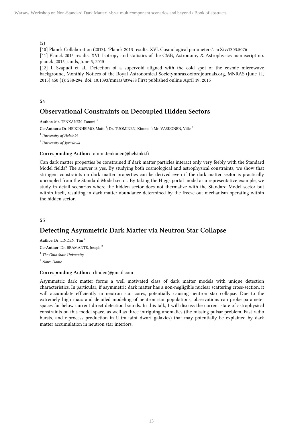#### (2)

[10] Planck Collaboration (2013). "Planck 2013 results. XVI. Cosmological parameters". arXiv:1303.5076 [11] Planck 2015 results. XVI. Isotropy and statistics of the CMB, Astronomy & Astrophysics manuscript no. planck\_2015\_iands, June 5, 2015

[12] I. Szapudi et al., Detection of a supervoid aligned with the cold spot of the cosmic microwave background, Monthly Notices of the Royal Astronomical Societymnras.oxfordjournals.org, MNRAS (June 11, 2015) 450 (1): 288-294. doi: 10.1093/mnras/stv488 First published online April 19, 2015

#### **54**

# **Observational Constraints on Decoupled Hidden Sectors**

**Author:** Mr. TENKANEN, Tommi <sup>1</sup>

Co-Authors: Dr. HEIKINHEIMO, Matti<sup>1</sup>; Dr. TUOMINEN, Kimmo<sup>1</sup>; Mr. VASKONEN, Ville<sup>2</sup>

<sup>1</sup> University of Helsinki

<sup>2</sup> University of Jyväskylä

#### **Corresponding Author:** tommi.tenkanen@helsinki.fi

Can dark matter properties be constrained if dark matter particles interact only very feebly with the Standard Model fields? The answer is yes. By studying both cosmological and astrophysical constraints, we show that stringent constraints on dark matter properties can be derived even if the dark matter sector is practically uncoupled from the Standard Model sector. By taking the Higgs portal model as a representative example, we study in detail scenarios where the hidden sector does not thermalize with the Standard Model sector but within itself, resulting in dark matter abundance determined by the freeze-out mechanism operating within the hidden sector.

#### **55**

# **Detecting Asymmetric Dark Matter via Neutron Star Collapse**

**Author:** Dr. LINDEN, Tim <sup>1</sup> **Co-Author:** Dr. BRAMANTE, Joseph <sup>2</sup>

<sup>1</sup> The Ohio State University

2 Notre Dame

#### **Corresponding Author:** trlinden@gmail.com

Asymmetric dark matter forms a well motivated class of dark matter models with unique detection characteristics. In particular, if asymmetric dark matter has a non-negligible nuclear scattering cross-section, it will accumulate efficiently in neutron star cores, potentially causing neutron star collapse. Due to the extremely high mass and detailed modeling of neutron star populations, observations can probe parameter spaces far below current direct detection bounds. In this talk, I will discuss the current state of astrophysical constraints on this model space, as well as three intriguing anomalies (the missing pulsar problem, Fast radio bursts, and r-process production in Ultra-faint dwarf galaxies) that may potentially be explained by dark matter accumulation in neutron star interiors.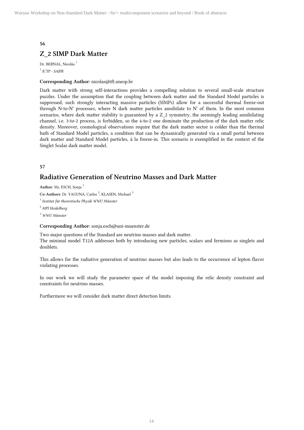# **Z\_2 SIMP Dark Matter**

Dr. BERNAL, Nicolás $^{\rm 1}$  $^{\rm 1}$  ICTP - SAIFR

#### **Corresponding Author:** nicolas@ift.unesp.br

Dark matter with strong self-interactions provides a compelling solution to several small-scale structure puzzles. Under the assumption that the coupling between dark matter and the Standard Model particles is suppressed, such strongly interacting massive particles (SIMPs) allow for a successful thermal freeze-out through N-to-N' processes, where N dark matter particles annihilate to N' of them. In the most common scenarios, where dark matter stability is guaranteed by a Z\_2 symmetry, the seemingly leading annihilating channel, i.e. 3-to-2 process, is forbidden, so the 4-to-2 one dominate the production of the dark matter relic density. Moreover, cosmological observations require that the dark matter sector is colder than the thermal bath of Standard Model particles, a condition that can be dynamically generated via a small portal between dark matter and Standard Model particles, à la freeze-in. This scenario is exemplified in the context of the Singlet Scalar dark matter model.

#### **57**

# **Radiative Generation of Neutrino Masses and Dark Matter**

**Author:** Ms. ESCH, Sonja <sup>1</sup>

Co-Authors: Dr. YAGUNA, Carlos<sup>2</sup>; KLASEN, Michael<sup>3</sup>

 $1$  Institut für theoretische Physik WWU Münster

<sup>2</sup> MPI Heidelberg

 $3$  WWU Münster

#### **Corresponding Author:** sonja.esch@uni-muenster.de

Two major questions of the Standard are neutrino masses and dark matter. The minimal model T12A addresses both by introducing new particles, scalars and fermions as singlets and doublets.

This allows for the radiative generation of neutrino masses but also leads to the occurrence of lepton flavor violating processes.

In our work we will study the parameter space of the model imposing the relic density constraint and constraints for neutrino masses.

Furthermore we will consider dark matter direct detection limits.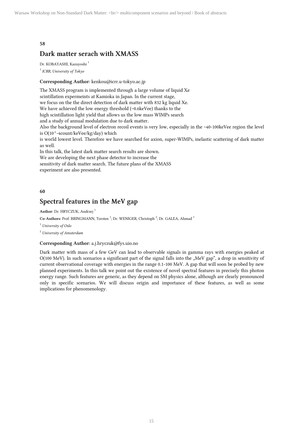# **Dark matter serach with XMASS**

Dr. KOBAYASHI, Kazuyoshi<sup>1</sup> <sup>1</sup> ICRR, University of Tokyo

#### **Corresponding Author:** kenkou@icrr.u-tokyo.ac.jp

The XMASS program is implemented through a large volume of liquid Xe scintillation expermeints at Kamioka in Japan. In the current stage, we focus on the the direct detection of dark matter with 832 kg liquid Xe. We have achieved the low energy threshold (~0.6keVee) thanks to the high scintillation light yield that allows us the low mass WIMPs search and a study of annual modulation due to dark matter. Also the background level of electron recoil events is very low, especially in the ~40-100keVee region the level is  $O(10^{\wedge} - 4\text{count}/\text{keVee}/\text{kg}/\text{day})$  which is world lowest level. Therefore we have searched for axion, super-WIMPs, inelastic scattering of dark matter as well. In this talk, the latest dark matter search results are shown. We are developing the next phase detector to increase the sensitivity of dark matter search. The future plans of the XMASS

experiment are also presented.

#### **60**

# **Spectral features in the MeV gap**

**Author:** Dr. HRYCZUK, Andrzej <sup>1</sup>

Co-Authors: Prof. BRINGMANN, Torsten<sup>1</sup>; Dr. WENIGER, Christoph<sup>2</sup>; Dr. GALEA, Ahmad<sup>1</sup>

<sup>1</sup> University of Oslo

<sup>2</sup> University of Amsterdam

#### **Corresponding Author:** a.j.hryczuk@fys.uio.no

Dark matter with mass of a few GeV can lead to observable signals in gamma rays with energies peaked at O(100 MeV). In such scenarios a significant part of the signal falls into the "MeV gap", a drop in sensitivity of current observational coverage with energies in the range 0.1-100 MeV. A gap that will soon be probed by new planned experiments. In this talk we point out the existence of novel spectral features in precisely this photon energy range. Such features are generic, as they depend on SM physics alone, although are clearly pronounced only in specific scenarios. We will discuss origin and importance of these features, as well as some implications for phenomenology.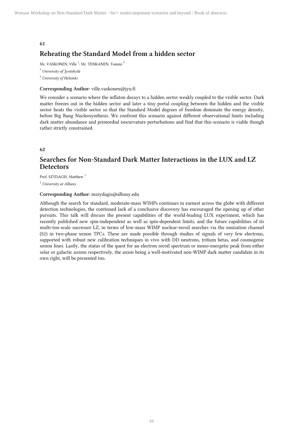# **Reheating the Standard Model from a hidden sector**

Mr. VASKONEN, Ville<sup>1</sup>; Mr. TENKANEN, Tommi<sup>2</sup>

1 University of Jyväskylä

<sup>2</sup> University of Helsinki

#### **Corresponding Author:** ville.vaskonen@jyu.fi

We consider a scenario where the inflaton decays to a hidden sector weakly coupled to the visible sector. Dark matter freezes out in the hidden sector and later a tiny portal coupling between the hidden and the visible sector heats the visible sector so that the Standard Model degrees of freedom dominate the energy density, before Big Bang Nucleosynthesis. We confront this scenario against different observational limits including dark matter abundance and primordial isocurvature perturbations and find that this scenario is viable though rather strictly constrained.

**62**

# **Searches for Non-Standard Dark Matter Interactions in the LUX and LZ Detectors**

Prof. SZYDAGIS, Matthew<sup>1</sup>

<sup>1</sup> University at Albany

#### **Corresponding Author:** mszydagis@albany.edu

Although the search for standard, moderate-mass WIMPs continues in earnest across the globe with different detection technologies, the continued lack of a conclusive discovery has encouraged the opening up of other pursuits. This talk will discuss the present capabilities of the world-leading LUX experiment, which has recently published new spin-independent as well as spin-dependent limits, and the future capabilities of its multi-ton-scale successor LZ, in terms of low-mass WIMP nuclear-recoil searches via the ionization channel (S2) in two-phase xenon TPCs. These are made possible through studies of signals of very few electrons, supported with robust new calibration techniques in vivo with DD neutrons, tritium betas, and cosmogenic xenon lines. Lastly, the status of the quest for an electron recoil spectrum or mono-energetic peak from either solar or galactic axions respectively, the axion being a well-motivated non-WIMP dark matter candidate in its own right, will be presented too.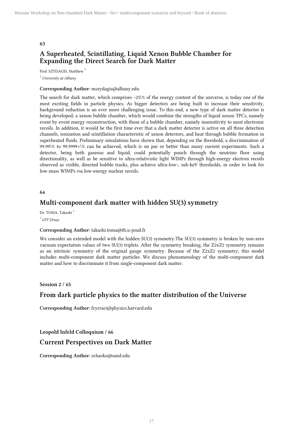# **A Superheated, Scintillating, Liquid Xenon Bubble Chamber for Expanding the Direct Search for Dark Matter**

Prof. SZYDAGIS, Matthew<sup>1</sup>

<sup>1</sup> University at Albany

#### **Corresponding Author:** mszydagis@albany.edu

The search for dark matter, which comprises ~25\% of the energy content of the universe, is today one of the most exciting fields in particle physics. As bigger detectors are being built to increase their sensitivity, background reduction is an ever more challenging issue. To this end, a new type of dark matter detector is being developed, a xenon bubble chamber, which would combine the strengths of liquid xenon TPCs, namely event by event energy reconstruction, with those of a bubble chamber, namely insensitivity to most electronic recoils. In addition, it would be the first time ever that a dark matter detector is active on all three detection channels, ionization and scintillation characteristic of xenon detectors, and heat through bubble formation in superheated fluids. Preliminary simulations have shown that, depending on the threshold, a discrimination of 99.99\% to 99.9999+\% can be achieved, which is on par or better than many current experiments. Such a detector, being both gaseous and liquid, could potentially punch through the neutrino floor using directionality, as well as be sensitive to ultra-relativistic light WIMPs through high-energy electron recoils observed as visible, directed bubble tracks, plus achieve ultra-low-, sub-keV thresholds, in order to look for low-mass WIMPs via low-energy nuclear recoils.

#### **64**

# **Multi-component dark matter with hidden SU(3) symmetry**

Dr. TOMA, Takashi<sup>1</sup> <sup>1</sup> LPT Orsay

#### **Corresponding Author:** takashi.toma@th.u-psud.fr

We consider an extended model with the hidden SU(3) symmetry.The SU(3) symmetry is broken by non-zero vacuum expectation values of two SU(3) triplets. After the symmetry breaking, the Z2xZ2 symmetry remains as an intrinsic symmetry of the original gauge symmetry. Because of the Z2xZ2 symmetry, this model includes multi-component dark matter particles. We discuss phenomenology of the multi-component dark matter and how to discriminate it from single-component dark matter.

**Session 2 / 65**

# **From dark particle physics to the matter distribution of the Universe**

**Corresponding Author:** fcyrraci@physics.harvard.edu

**Leopold Infeld Colloquium / 66**

## **Current Perspectives on Dark Matter**

**Corresponding Author:** zchacko@umd.edu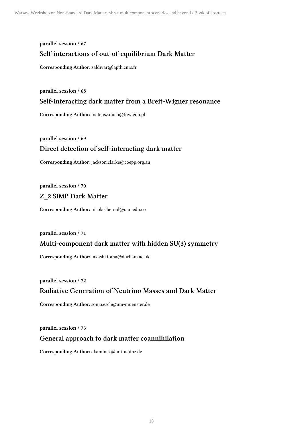# **parallel session / 67 Self-interactions of out-of-equilibrium Dark Matter**

**Corresponding Author:** zaldivar@lapth.cnrs.fr

**parallel session / 68**

# **Self-interacting dark matter from a Breit-Wigner resonance**

**Corresponding Author:** mateusz.duch@fuw.edu.pl

**parallel session / 69**

# **Direct detection of self-interacting dark matter**

**Corresponding Author:** jackson.clarke@coepp.org.au

**parallel session / 70**

# **Z\_2 SIMP Dark Matter**

**Corresponding Author:** nicolas.bernal@uan.edu.co

**parallel session / 71**

# **Multi-component dark matter with hidden SU(3) symmetry**

**Corresponding Author:** takashi.toma@durham.ac.uk

**parallel session / 72**

# **Radiative Generation of Neutrino Masses and Dark Matter**

**Corresponding Author:** sonja.esch@uni-muenster.de

**parallel session / 73**

# **General approach to dark matter coannihilation**

**Corresponding Author:** akaminsk@uni-mainz.de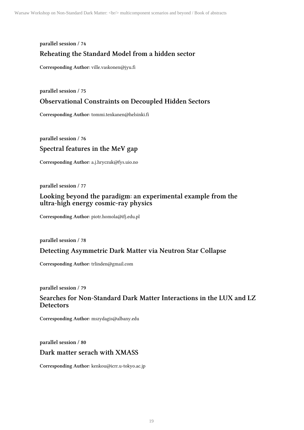# **parallel session / 74 Reheating the Standard Model from a hidden sector**

**Corresponding Author:** ville.vaskonen@jyu.fi

**parallel session / 75**

# **Observational Constraints on Decoupled Hidden Sectors**

**Corresponding Author:** tommi.tenkanen@helsinki.fi

**parallel session / 76 Spectral features in the MeV gap**

**Corresponding Author:** a.j.hryczuk@fys.uio.no

**parallel session / 77**

# **Looking beyond the paradigm: an experimental example from the ultra-high energy cosmic-ray physics**

**Corresponding Author:** piotr.homola@ifj.edu.pl

**parallel session / 78**

# **Detecting Asymmetric Dark Matter via Neutron Star Collapse**

**Corresponding Author:** trlinden@gmail.com

**parallel session / 79**

# **Searches for Non-Standard Dark Matter Interactions in the LUX and LZ Detectors**

**Corresponding Author:** mszydagis@albany.edu

**parallel session / 80**

## **Dark matter serach with XMASS**

**Corresponding Author:** kenkou@icrr.u-tokyo.ac.jp